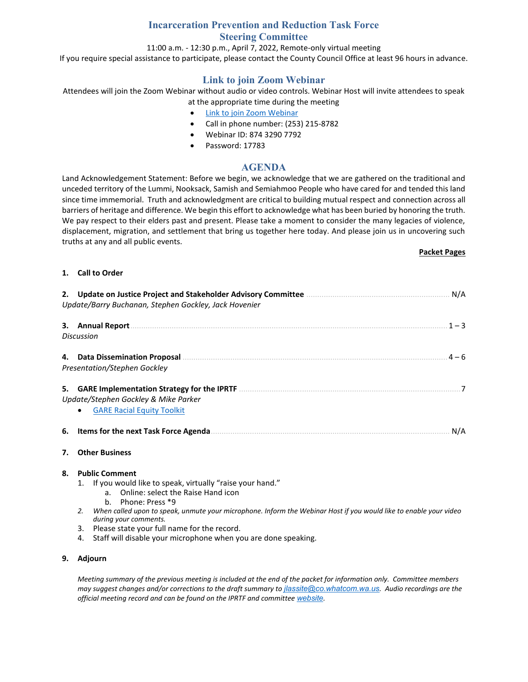## **Incarceration Prevention and Reduction Task Force Steering Committee**

11:00 a.m. - 12:30 p.m., April 7, 2022, Remote-only virtual meeting

If you require special assistance to participate, please contact the County Council Office at least 96 hours in advance.

## **Link to join Zoom Webinar**

Attendees will join the Zoom Webinar without audio or video controls. Webinar Host will invite attendees to speak at the appropriate time during the meeting

- [Link to join Zoom Webinar](https://us06web.zoom.us/j/87432907792?pwd=QkNvTWFKaThjVko2SkE2RE5YaWdydz09)
- Call in phone number: (253) 215-8782
- Webinar ID: 874 3290 7792
- Password: 17783

### **AGENDA**

Land Acknowledgement Statement: Before we begin, we acknowledge that we are gathered on the traditional and unceded territory of the Lummi, Nooksack, Samish and Semiahmoo People who have cared for and tended this land since time immemorial. Truth and acknowledgment are critical to building mutual respect and connection across all barriers of heritage and difference. We begin this effort to acknowledge what has been buried by honoring the truth. We pay respect to their elders past and present. Please take a moment to consider the many legacies of violence, displacement, migration, and settlement that bring us together here today. And please join us in uncovering such truths at any and all public events.

#### **Packet Pages**

#### **1. Call to Order**

|    | N/A<br>Update/Barry Buchanan, Stephen Gockley, Jack Hovenier                                                                                |         |  |  |  |  |
|----|---------------------------------------------------------------------------------------------------------------------------------------------|---------|--|--|--|--|
| З. | <b>Annual Report</b><br>Discussion                                                                                                          | $1 - 3$ |  |  |  |  |
|    | <b>Data Dissemination Proposal</b><br><b>Presentation/Stephen Gockley</b>                                                                   | 4 — 6   |  |  |  |  |
| 5. | <b>GARE Implementation Strategy for the IPRTF</b><br>Update/Stephen Gockley & Mike Parker<br><b>GARE Racial Equity Toolkit</b><br>$\bullet$ |         |  |  |  |  |
| 6. | Items for the next Task Force Agenda                                                                                                        | N/A     |  |  |  |  |

#### **7. Other Business**

#### **8. Public Comment**

- 1. If you would like to speak, virtually "raise your hand."
	- a. Online: select the Raise Hand icon
		- b. Phone: Press \*9
- *2. When called upon to speak, unmute your microphone. Inform the Webinar Host if you would like to enable your video during your comments.*
- 3. Please state your full name for the record.
- 4. Staff will disable your microphone when you are done speaking.

#### **9. Adjourn**

*Meeting summary of the previous meeting is included at the end of the packet for information only. Committee members may suggest changes and/or corrections to the draft summary to [jlassite@co.whatcom.wa.us](mailto:jlassite@co.whatcom.wa.us). Audio recordings are the official meeting record and can be found on the IPRTF and committee [website](http://www.co.whatcom.wa.us/2052/Incarceration-Prevention-and-Reduction-T).*